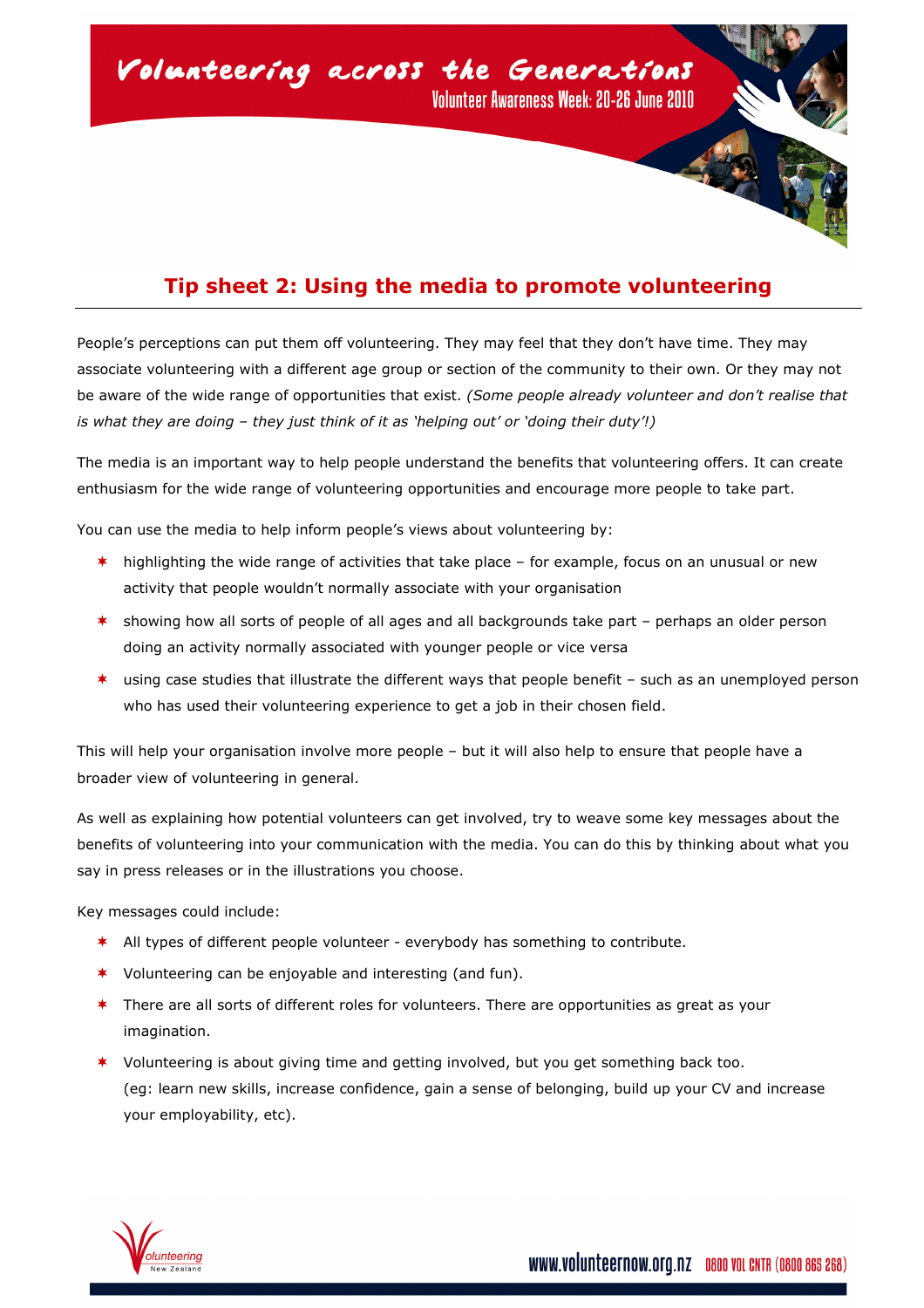

## Tip sheet 2: Using the media to promote volunteering

People's perceptions can put them off volunteering. They may feel that they don't have time. They may associate volunteering with a different age group or section of the community to their own. Or they may not be aware of the wide range of opportunities that exist. (Some people already volunteer and don't realise that is what they are doing – they just think of it as 'helping out' or 'doing their duty'!)

The media is an important way to help people understand the benefits that volunteering offers. It can create enthusiasm for the wide range of volunteering opportunities and encourage more people to take part.

You can use the media to help inform people's views about volunteering by:

- $*$  highlighting the wide range of activities that take place for example, focus on an unusual or new activity that people wouldn't normally associate with your organisation
- $*$  showing how all sorts of people of all ages and all backgrounds take part perhaps an older person doing an activity normally associated with younger people or vice versa
- $*$  using case studies that illustrate the different ways that people benefit such as an unemployed person who has used their volunteering experience to get a job in their chosen field.

This will help your organisation involve more people – but it will also help to ensure that people have a broader view of volunteering in general.

As well as explaining how potential volunteers can get involved, try to weave some key messages about the benefits of volunteering into your communication with the media. You can do this by thinking about what you say in press releases or in the illustrations you choose.

Key messages could include:

- \* All types of different people volunteer everybody has something to contribute.
- \* Volunteering can be enjoyable and interesting (and fun).
- \* There are all sorts of different roles for volunteers. There are opportunities as great as your imagination.
- Volunteering is about giving time and getting involved, but you get something back too. (eg: learn new skills, increase confidence, gain a sense of belonging, build up your CV and increase your employability, etc).

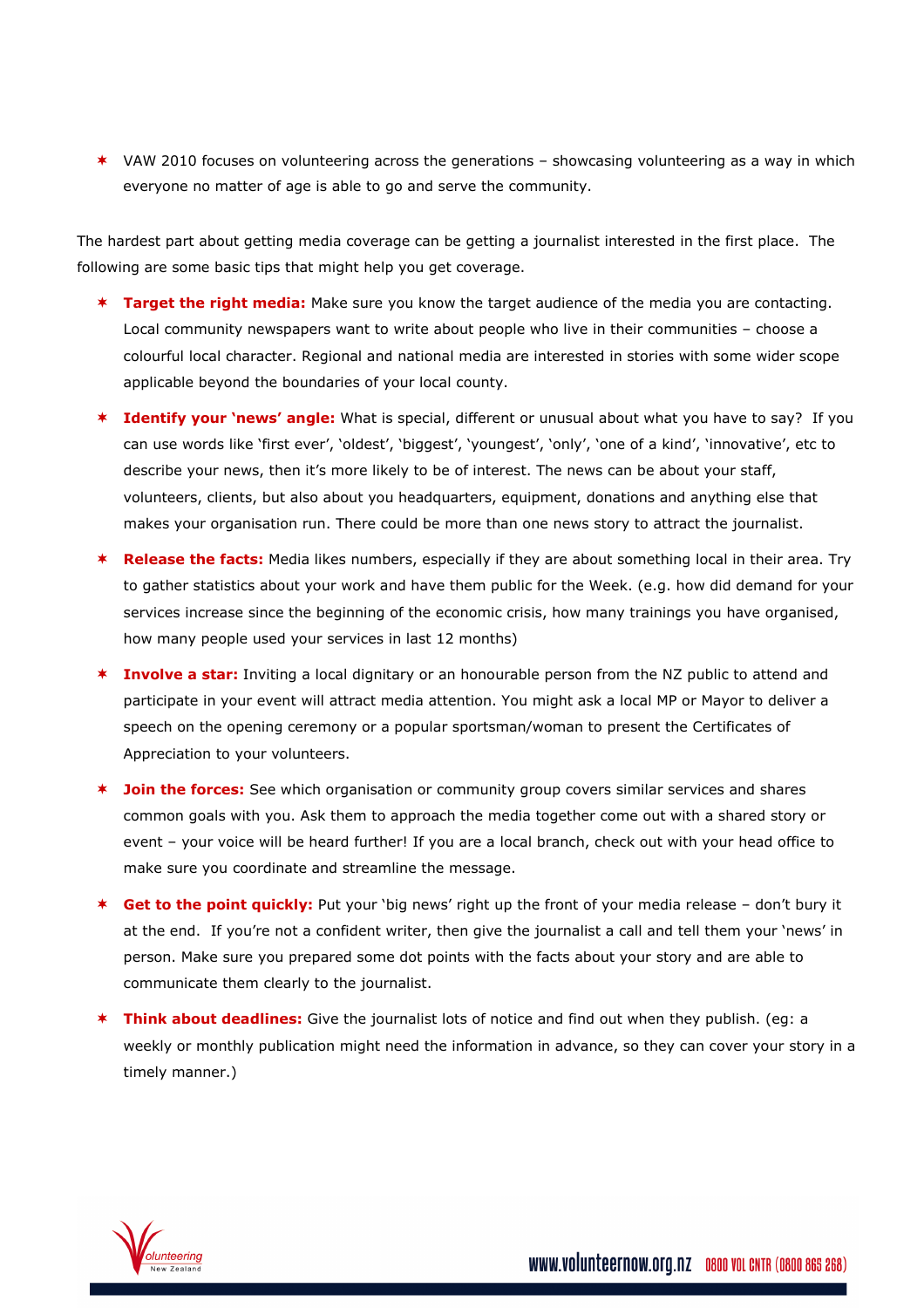\* VAW 2010 focuses on volunteering across the generations - showcasing volunteering as a way in which everyone no matter of age is able to go and serve the community.

The hardest part about getting media coverage can be getting a journalist interested in the first place. The following are some basic tips that might help you get coverage.

- **\* Target the right media:** Make sure you know the target audience of the media you are contacting. Local community newspapers want to write about people who live in their communities – choose a colourful local character. Regional and national media are interested in stories with some wider scope applicable beyond the boundaries of your local county.
- \* Identify your 'news' angle: What is special, different or unusual about what you have to say? If you can use words like 'first ever', 'oldest', 'biggest', 'youngest', 'only', 'one of a kind', 'innovative', etc to describe your news, then it's more likely to be of interest. The news can be about your staff, volunteers, clients, but also about you headquarters, equipment, donations and anything else that makes your organisation run. There could be more than one news story to attract the journalist.
- \* Release the facts: Media likes numbers, especially if they are about something local in their area. Try to gather statistics about your work and have them public for the Week. (e.g. how did demand for your services increase since the beginning of the economic crisis, how many trainings you have organised, how many people used your services in last 12 months)
- **Involve a star:** Inviting a local dignitary or an honourable person from the NZ public to attend and participate in your event will attract media attention. You might ask a local MP or Mayor to deliver a speech on the opening ceremony or a popular sportsman/woman to present the Certificates of Appreciation to your volunteers.
- **\* Join the forces:** See which organisation or community group covers similar services and shares common goals with you. Ask them to approach the media together come out with a shared story or event – your voice will be heard further! If you are a local branch, check out with your head office to make sure you coordinate and streamline the message.
- \* Get to the point quickly: Put your 'big news' right up the front of your media release don't bury it at the end. If you're not a confident writer, then give the journalist a call and tell them your 'news' in person. Make sure you prepared some dot points with the facts about your story and are able to communicate them clearly to the journalist.
- **Think about deadlines:** Give the journalist lots of notice and find out when they publish. (eg: a weekly or monthly publication might need the information in advance, so they can cover your story in a timely manner.)